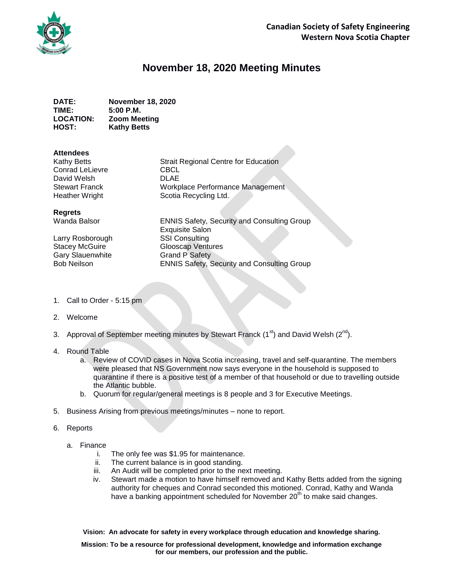

## **November 18, 2020 Meeting Minutes**

**DATE: November 18, 2020 TIME: 5:00 P.M. LOCATION: Zoom Meeting HOST: Kathy Betts**

## **Attendees**

| <b>Strait Regional Centre for Education</b> |
|---------------------------------------------|
| <b>CBCL</b>                                 |
| <b>DLAE</b>                                 |
| Workplace Performance Management            |
| Scotia Recycling Ltd.                       |
|                                             |

## **Regrets**

Larry Rosborough SSI Consulting Gary Slauenwhite **Grand P Safety** 

Wanda Balsor **ENNIS Safety, Security and Consulting Group** Exquisite Salon Stacey McGuire **Glooscap Ventures** Bob Neilson ENNIS Safety, Security and Consulting Group

- 1. Call to Order 5:15 pm
- 2. Welcome
- 3. Approval of September meeting minutes by Stewart Franck  $(1^{st})$  and David Welsh  $(2^{nd})$ .
- 4. Round Table
	- a. Review of COVID cases in Nova Scotia increasing, travel and self-quarantine. The members were pleased that NS Government now says everyone in the household is supposed to quarantine if there is a positive test of a member of that household or due to travelling outside the Atlantic bubble.
	- b. Quorum for regular/general meetings is 8 people and 3 for Executive Meetings.
- 5. Business Arising from previous meetings/minutes none to report.
- 6. Reports
	- a. Finance
		- i. The only fee was \$1.95 for maintenance.
		- ii. The current balance is in good standing.
		- iii. An Audit will be completed prior to the next meeting.
		- iv. Stewart made a motion to have himself removed and Kathy Betts added from the signing authority for cheques and Conrad seconded this motioned. Conrad, Kathy and Wanda have a banking appointment scheduled for November 20<sup>th</sup> to make said changes.

**Vision: An advocate for safety in every workplace through education and knowledge sharing.**

**Mission: To be a resource for professional development, knowledge and information exchange for our members, our profession and the public.**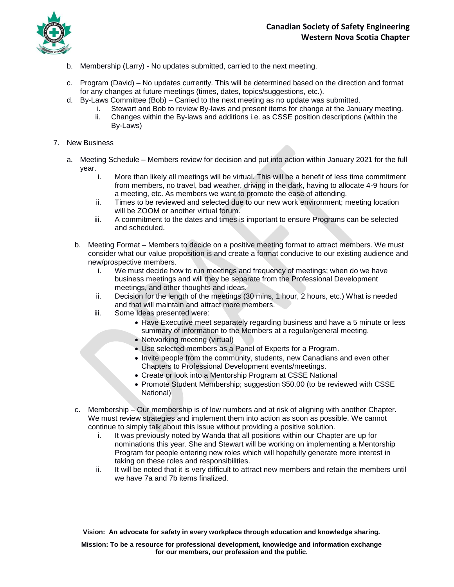

- b. Membership (Larry) No updates submitted, carried to the next meeting.
- c. Program (David) No updates currently. This will be determined based on the direction and format for any changes at future meetings (times, dates, topics/suggestions, etc.).
- d. By-Laws Committee (Bob) Carried to the next meeting as no update was submitted.
	- i. Stewart and Bob to review By-laws and present items for change at the January meeting.
	- ii. Changes within the By-laws and additions i.e. as CSSE position descriptions (within the By-Laws)
- 7. New Business
	- a. Meeting Schedule Members review for decision and put into action within January 2021 for the full year.
		- i. More than likely all meetings will be virtual. This will be a benefit of less time commitment from members, no travel, bad weather, driving in the dark, having to allocate 4-9 hours for a meeting, etc. As members we want to promote the ease of attending.
		- ii. Times to be reviewed and selected due to our new work environment; meeting location will be ZOOM or another virtual forum.
		- iii. A commitment to the dates and times is important to ensure Programs can be selected and scheduled.
		- b. Meeting Format Members to decide on a positive meeting format to attract members. We must consider what our value proposition is and create a format conducive to our existing audience and new/prospective members.
			- i. We must decide how to run meetings and frequency of meetings; when do we have business meetings and will they be separate from the Professional Development meetings, and other thoughts and ideas.
			- ii. Decision for the length of the meetings (30 mins, 1 hour, 2 hours, etc.) What is needed and that will maintain and attract more members.
			- iii. Some Ideas presented were:
				- Have Executive meet separately regarding business and have a 5 minute or less summary of information to the Members at a regular/general meeting.
				- Networking meeting (virtual)
				- Use selected members as a Panel of Experts for a Program.
				- Invite people from the community, students, new Canadians and even other Chapters to Professional Development events/meetings.
				- Create or look into a Mentorship Program at CSSE National
				- Promote Student Membership; suggestion \$50.00 (to be reviewed with CSSE National)
		- c. Membership Our membership is of low numbers and at risk of aligning with another Chapter. We must review strategies and implement them into action as soon as possible. We cannot continue to simply talk about this issue without providing a positive solution.
			- i. It was previously noted by Wanda that all positions within our Chapter are up for nominations this year. She and Stewart will be working on implementing a Mentorship Program for people entering new roles which will hopefully generate more interest in taking on these roles and responsibilities.
			- ii. It will be noted that it is very difficult to attract new members and retain the members until we have 7a and 7b items finalized.

**Vision: An advocate for safety in every workplace through education and knowledge sharing.**

**Mission: To be a resource for professional development, knowledge and information exchange for our members, our profession and the public.**